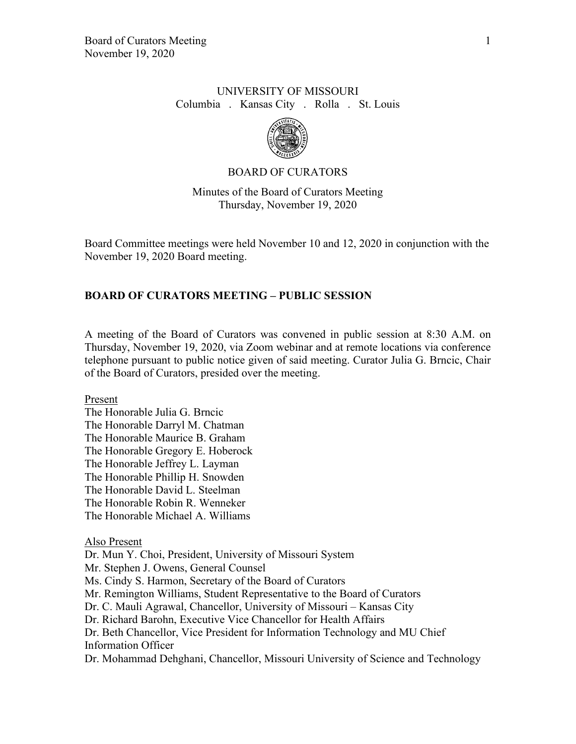## UNIVERSITY OF MISSOURI Columbia . Kansas City . Rolla . St. Louis



## BOARD OF CURATORS

Minutes of the Board of Curators Meeting Thursday, November 19, 2020

Board Committee meetings were held November 10 and 12, 2020 in conjunction with the November 19, 2020 Board meeting.

## **BOARD OF CURATORS MEETING – PUBLIC SESSION**

A meeting of the Board of Curators was convened in public session at 8:30 A.M. on Thursday, November 19, 2020, via Zoom webinar and at remote locations via conference telephone pursuant to public notice given of said meeting. Curator Julia G. Brncic, Chair of the Board of Curators, presided over the meeting.

Present

The Honorable Julia G. Brncic The Honorable Darryl M. Chatman The Honorable Maurice B. Graham The Honorable Gregory E. Hoberock The Honorable Jeffrey L. Layman The Honorable Phillip H. Snowden The Honorable David L. Steelman The Honorable Robin R. Wenneker The Honorable Michael A. Williams

### Also Present

Dr. Mun Y. Choi, President, University of Missouri System Mr. Stephen J. Owens, General Counsel Ms. Cindy S. Harmon, Secretary of the Board of Curators Mr. Remington Williams, Student Representative to the Board of Curators Dr. C. Mauli Agrawal, Chancellor, University of Missouri – Kansas City Dr. Richard Barohn, Executive Vice Chancellor for Health Affairs Dr. Beth Chancellor, Vice President for Information Technology and MU Chief Information Officer Dr. Mohammad Dehghani, Chancellor, Missouri University of Science and Technology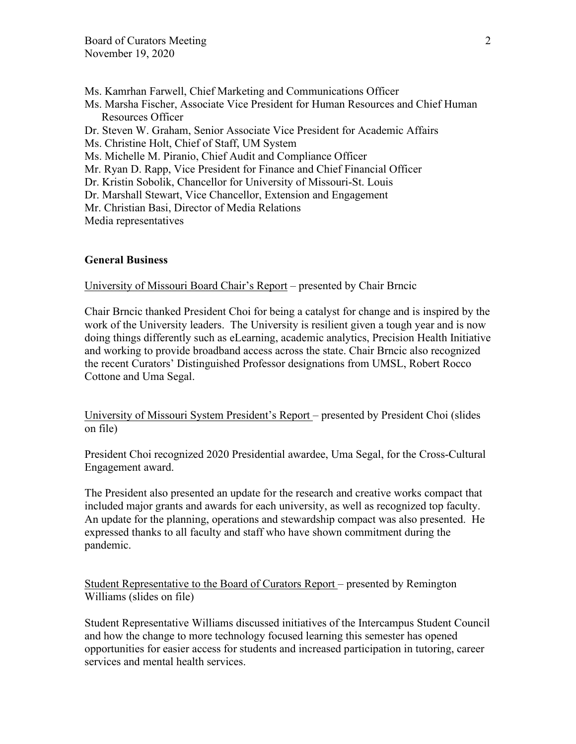Ms. Kamrhan Farwell, Chief Marketing and Communications Officer Ms. Marsha Fischer, Associate Vice President for Human Resources and Chief Human Resources Officer Dr. Steven W. Graham, Senior Associate Vice President for Academic Affairs Ms. Christine Holt, Chief of Staff, UM System Ms. Michelle M. Piranio, Chief Audit and Compliance Officer Mr. Ryan D. Rapp, Vice President for Finance and Chief Financial Officer Dr. Kristin Sobolik, Chancellor for University of Missouri-St. Louis Dr. Marshall Stewart, Vice Chancellor, Extension and Engagement Mr. Christian Basi, Director of Media Relations Media representatives

## **General Business**

University of Missouri Board Chair's Report – presented by Chair Brncic

Chair Brncic thanked President Choi for being a catalyst for change and is inspired by the work of the University leaders. The University is resilient given a tough year and is now doing things differently such as eLearning, academic analytics, Precision Health Initiative and working to provide broadband access across the state. Chair Brncic also recognized the recent Curators' Distinguished Professor designations from UMSL, Robert Rocco Cottone and Uma Segal.

University of Missouri System President's Report – presented by President Choi (slides on file)

President Choi recognized 2020 Presidential awardee, Uma Segal, for the Cross-Cultural Engagement award.

The President also presented an update for the research and creative works compact that included major grants and awards for each university, as well as recognized top faculty. An update for the planning, operations and stewardship compact was also presented. He expressed thanks to all faculty and staff who have shown commitment during the pandemic.

Student Representative to the Board of Curators Report – presented by Remington Williams (slides on file)

Student Representative Williams discussed initiatives of the Intercampus Student Council and how the change to more technology focused learning this semester has opened opportunities for easier access for students and increased participation in tutoring, career services and mental health services.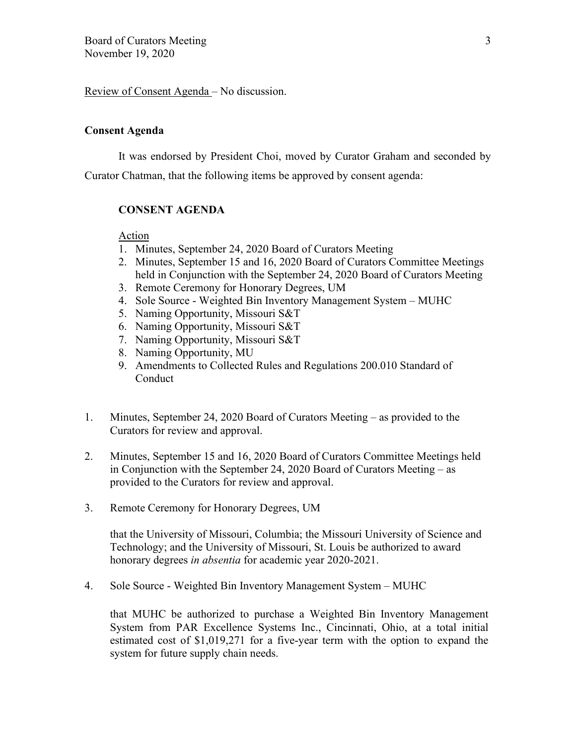Review of Consent Agenda – No discussion.

### **Consent Agenda**

It was endorsed by President Choi, moved by Curator Graham and seconded by Curator Chatman, that the following items be approved by consent agenda:

### **CONSENT AGENDA**

Action

- 1. Minutes, September 24, 2020 Board of Curators Meeting
- 2. Minutes, September 15 and 16, 2020 Board of Curators Committee Meetings held in Conjunction with the September 24, 2020 Board of Curators Meeting
- 3. Remote Ceremony for Honorary Degrees, UM
- 4. Sole Source Weighted Bin Inventory Management System MUHC
- 5. Naming Opportunity, Missouri S&T
- 6. Naming Opportunity, Missouri S&T
- 7. Naming Opportunity, Missouri S&T
- 8. Naming Opportunity, MU
- 9. Amendments to Collected Rules and Regulations 200.010 Standard of Conduct
- 1. Minutes, September 24, 2020 Board of Curators Meeting as provided to the Curators for review and approval.
- 2. Minutes, September 15 and 16, 2020 Board of Curators Committee Meetings held in Conjunction with the September 24, 2020 Board of Curators Meeting – as provided to the Curators for review and approval.
- 3. Remote Ceremony for Honorary Degrees, UM

that the University of Missouri, Columbia; the Missouri University of Science and Technology; and the University of Missouri, St. Louis be authorized to award honorary degrees *in absentia* for academic year 2020-2021.

4. Sole Source - Weighted Bin Inventory Management System – MUHC

that MUHC be authorized to purchase a Weighted Bin Inventory Management System from PAR Excellence Systems Inc., Cincinnati, Ohio, at a total initial estimated cost of \$1,019,271 for a five-year term with the option to expand the system for future supply chain needs.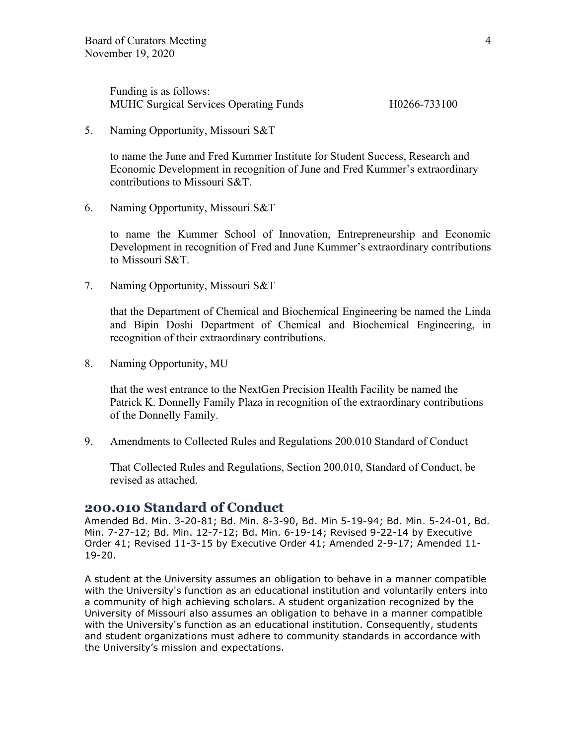Funding is as follows: MUHC Surgical Services Operating Funds H0266-733100

5. Naming Opportunity, Missouri S&T

to name the June and Fred Kummer Institute for Student Success, Research and Economic Development in recognition of June and Fred Kummer's extraordinary contributions to Missouri S&T.

6. Naming Opportunity, Missouri S&T

to name the Kummer School of Innovation, Entrepreneurship and Economic Development in recognition of Fred and June Kummer's extraordinary contributions to Missouri S&T.

7. Naming Opportunity, Missouri S&T

that the Department of Chemical and Biochemical Engineering be named the Linda and Bipin Doshi Department of Chemical and Biochemical Engineering, in recognition of their extraordinary contributions.

8. Naming Opportunity, MU

that the west entrance to the NextGen Precision Health Facility be named the Patrick K. Donnelly Family Plaza in recognition of the extraordinary contributions of the Donnelly Family.

9. Amendments to Collected Rules and Regulations 200.010 Standard of Conduct

That Collected Rules and Regulations, Section 200.010, Standard of Conduct, be revised as attached.

## **200.010 Standard of Conduct**

Amended Bd. Min. 3-20-81; Bd. Min. 8-3-90, Bd. Min 5-19-94; Bd. Min. 5-24-01, Bd. Min. 7-27-12; Bd. Min. 12-7-12; Bd. Min. 6-19-14; Revised 9-22-14 by Executive Order 41; Revised 11-3-15 by Executive Order 41; Amended 2-9-17; Amended 11- 19-20.

A student at the University assumes an obligation to behave in a manner compatible with the University's function as an educational institution and voluntarily enters into a community of high achieving scholars. A student organization recognized by the University of Missouri also assumes an obligation to behave in a manner compatible with the University's function as an educational institution. Consequently, students and student organizations must adhere to community standards in accordance with the University's mission and expectations.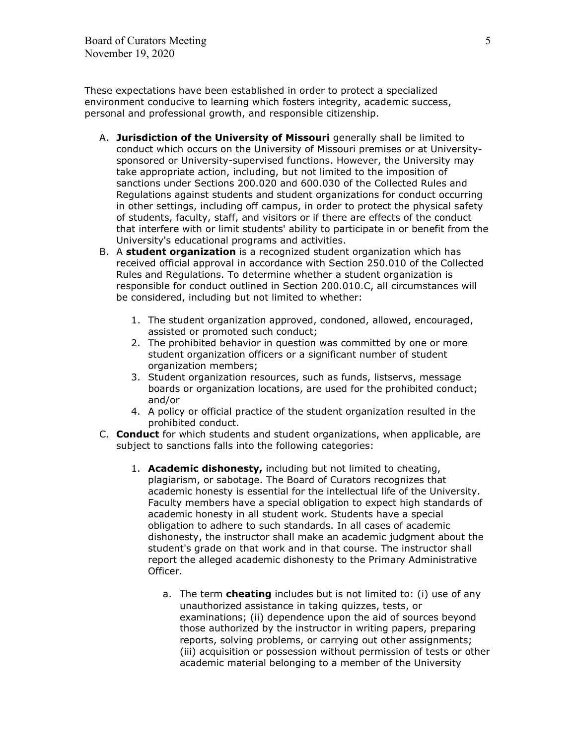These expectations have been established in order to protect a specialized environment conducive to learning which fosters integrity, academic success, personal and professional growth, and responsible citizenship.

- A. **Jurisdiction of the University of Missouri** generally shall be limited to conduct which occurs on the University of Missouri premises or at Universitysponsored or University-supervised functions. However, the University may take appropriate action, including, but not limited to the imposition of sanctions under Sections 200.020 and 600.030 of the Collected Rules and Regulations against students and student organizations for conduct occurring in other settings, including off campus, in order to protect the physical safety of students, faculty, staff, and visitors or if there are effects of the conduct that interfere with or limit students' ability to participate in or benefit from the University's educational programs and activities.
- B. A **student organization** is a recognized student organization which has received official approval in accordance with Section 250.010 of the Collected Rules and Regulations. To determine whether a student organization is responsible for conduct outlined in Section 200.010.C, all circumstances will be considered, including but not limited to whether:
	- 1. The student organization approved, condoned, allowed, encouraged, assisted or promoted such conduct;
	- 2. The prohibited behavior in question was committed by one or more student organization officers or a significant number of student organization members;
	- 3. Student organization resources, such as funds, listservs, message boards or organization locations, are used for the prohibited conduct; and/or
	- 4. A policy or official practice of the student organization resulted in the prohibited conduct.
- C. **Conduct** for which students and student organizations, when applicable, are subject to sanctions falls into the following categories:
	- 1. **Academic dishonesty,** including but not limited to cheating, plagiarism, or sabotage. The Board of Curators recognizes that academic honesty is essential for the intellectual life of the University. Faculty members have a special obligation to expect high standards of academic honesty in all student work. Students have a special obligation to adhere to such standards. In all cases of academic dishonesty, the instructor shall make an academic judgment about the student's grade on that work and in that course. The instructor shall report the alleged academic dishonesty to the Primary Administrative Officer.
		- a. The term **cheating** includes but is not limited to: (i) use of any unauthorized assistance in taking quizzes, tests, or examinations; (ii) dependence upon the aid of sources beyond those authorized by the instructor in writing papers, preparing reports, solving problems, or carrying out other assignments; (iii) acquisition or possession without permission of tests or other academic material belonging to a member of the University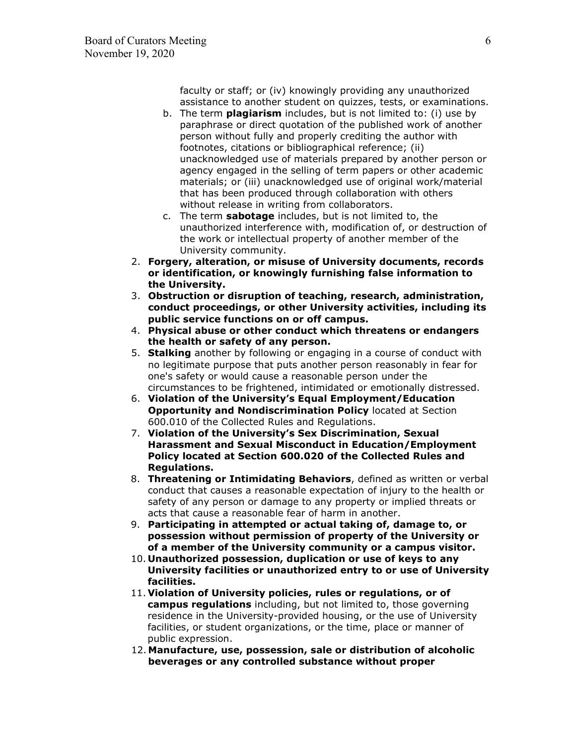faculty or staff; or (iv) knowingly providing any unauthorized assistance to another student on quizzes, tests, or examinations.

- b. The term **plagiarism** includes, but is not limited to: (i) use by paraphrase or direct quotation of the published work of another person without fully and properly crediting the author with footnotes, citations or bibliographical reference; (ii) unacknowledged use of materials prepared by another person or agency engaged in the selling of term papers or other academic materials; or (iii) unacknowledged use of original work/material that has been produced through collaboration with others without release in writing from collaborators.
- c. The term **sabotage** includes, but is not limited to, the unauthorized interference with, modification of, or destruction of the work or intellectual property of another member of the University community.
- 2. **Forgery, alteration, or misuse of University documents, records or identification, or knowingly furnishing false information to the University.**
- 3. **Obstruction or disruption of teaching, research, administration, conduct proceedings, or other University activities, including its public service functions on or off campus.**
- 4. **Physical abuse or other conduct which threatens or endangers the health or safety of any person.**
- 5. **Stalking** another by following or engaging in a course of conduct with no legitimate purpose that puts another person reasonably in fear for one's safety or would cause a reasonable person under the circumstances to be frightened, intimidated or emotionally distressed.
- 6. **Violation of the University's Equal Employment/Education Opportunity and Nondiscrimination Policy** located at Section 600.010 of the Collected Rules and Regulations.
- 7. **Violation of the University's Sex Discrimination, Sexual Harassment and Sexual Misconduct in Education/Employment Policy located at Section 600.020 of the Collected Rules and Regulations.**
- 8. **Threatening or Intimidating Behaviors**, defined as written or verbal conduct that causes a reasonable expectation of injury to the health or safety of any person or damage to any property or implied threats or acts that cause a reasonable fear of harm in another.
- 9. **Participating in attempted or actual taking of, damage to, or possession without permission of property of the University or of a member of the University community or a campus visitor.**
- 10. **Unauthorized possession, duplication or use of keys to any University facilities or unauthorized entry to or use of University facilities.**
- 11. **Violation of University policies, rules or regulations, or of campus regulations** including, but not limited to, those governing residence in the University-provided housing, or the use of University facilities, or student organizations, or the time, place or manner of public expression.
- 12. **Manufacture, use, possession, sale or distribution of alcoholic beverages or any controlled substance without proper**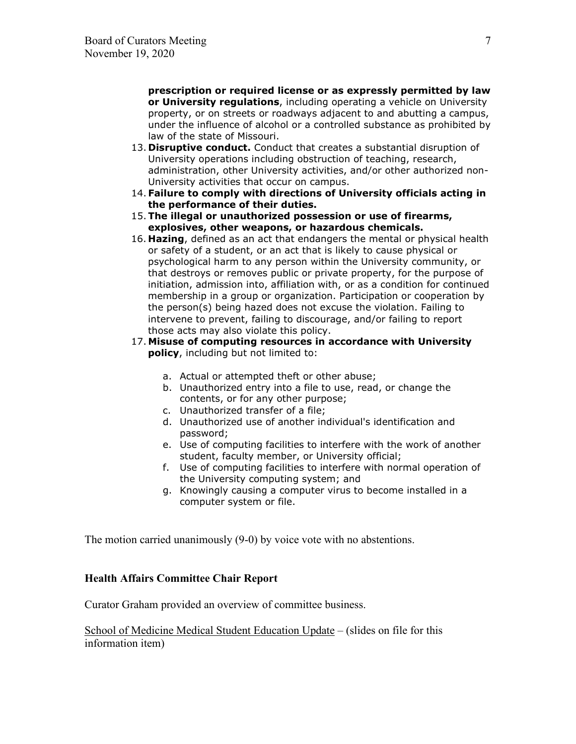**prescription or required license or as expressly permitted by law or University regulations**, including operating a vehicle on University property, or on streets or roadways adjacent to and abutting a campus, under the influence of alcohol or a controlled substance as prohibited by law of the state of Missouri.

- 13. **Disruptive conduct.** Conduct that creates a substantial disruption of University operations including obstruction of teaching, research, administration, other University activities, and/or other authorized non-University activities that occur on campus.
- 14. **Failure to comply with directions of University officials acting in the performance of their duties.**
- 15.**The illegal or unauthorized possession or use of firearms, explosives, other weapons, or hazardous chemicals.**
- 16. **Hazing**, defined as an act that endangers the mental or physical health or safety of a student, or an act that is likely to cause physical or psychological harm to any person within the University community, or that destroys or removes public or private property, for the purpose of initiation, admission into, affiliation with, or as a condition for continued membership in a group or organization. Participation or cooperation by the person(s) being hazed does not excuse the violation. Failing to intervene to prevent, failing to discourage, and/or failing to report those acts may also violate this policy.
- 17. **Misuse of computing resources in accordance with University policy**, including but not limited to:
	- a. Actual or attempted theft or other abuse;
	- b. Unauthorized entry into a file to use, read, or change the contents, or for any other purpose;
	- c. Unauthorized transfer of a file;
	- d. Unauthorized use of another individual's identification and password;
	- e. Use of computing facilities to interfere with the work of another student, faculty member, or University official;
	- f. Use of computing facilities to interfere with normal operation of the University computing system; and
	- g. Knowingly causing a computer virus to become installed in a computer system or file.

The motion carried unanimously (9-0) by voice vote with no abstentions.

## **Health Affairs Committee Chair Report**

Curator Graham provided an overview of committee business.

School of Medicine Medical Student Education Update – (slides on file for this information item)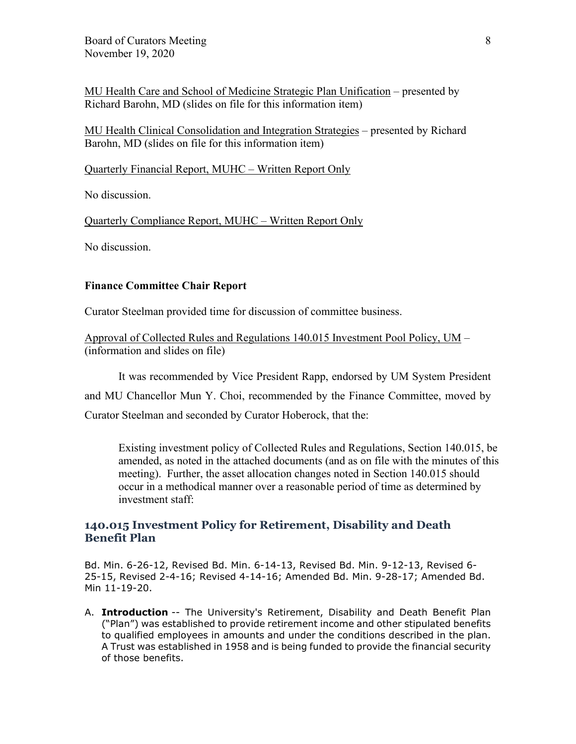MU Health Care and School of Medicine Strategic Plan Unification – presented by Richard Barohn, MD (slides on file for this information item)

MU Health Clinical Consolidation and Integration Strategies – presented by Richard Barohn, MD (slides on file for this information item)

Quarterly Financial Report, MUHC – Written Report Only

No discussion.

Quarterly Compliance Report, MUHC – Written Report Only

No discussion.

### **Finance Committee Chair Report**

Curator Steelman provided time for discussion of committee business.

Approval of Collected Rules and Regulations 140.015 Investment Pool Policy, UM – (information and slides on file)

It was recommended by Vice President Rapp, endorsed by UM System President and MU Chancellor Mun Y. Choi, recommended by the Finance Committee, moved by Curator Steelman and seconded by Curator Hoberock, that the:

Existing investment policy of Collected Rules and Regulations, Section 140.015, be amended, as noted in the attached documents (and as on file with the minutes of this meeting). Further, the asset allocation changes noted in Section 140.015 should occur in a methodical manner over a reasonable period of time as determined by investment staff:

## **140.015 Investment Policy for Retirement, Disability and Death Benefit Plan**

Bd. Min. 6-26-12, Revised Bd. Min. 6-14-13, Revised Bd. Min. 9-12-13, Revised 6- 25-15, Revised 2-4-16; Revised 4-14-16; Amended Bd. Min. 9-28-17; Amended Bd. Min 11-19-20.

A. **Introduction** -- The University's Retirement, Disability and Death Benefit Plan ("Plan") was established to provide retirement income and other stipulated benefits to qualified employees in amounts and under the conditions described in the plan. A Trust was established in 1958 and is being funded to provide the financial security of those benefits.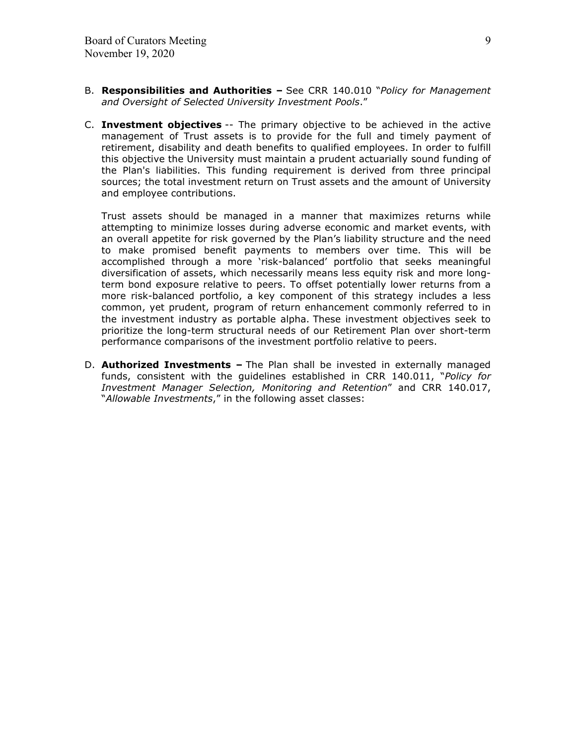- B. **Responsibilities and Authorities** See CRR 140.010 "*Policy for Management and Oversight of Selected University Investment Pools*."
- C. **Investment objectives** -- The primary objective to be achieved in the active management of Trust assets is to provide for the full and timely payment of retirement, disability and death benefits to qualified employees. In order to fulfill this objective the University must maintain a prudent actuarially sound funding of the Plan's liabilities. This funding requirement is derived from three principal sources; the total investment return on Trust assets and the amount of University and employee contributions.

Trust assets should be managed in a manner that maximizes returns while attempting to minimize losses during adverse economic and market events, with an overall appetite for risk governed by the Plan's liability structure and the need to make promised benefit payments to members over time. This will be accomplished through a more 'risk-balanced' portfolio that seeks meaningful diversification of assets, which necessarily means less equity risk and more longterm bond exposure relative to peers. To offset potentially lower returns from a more risk-balanced portfolio, a key component of this strategy includes a less common, yet prudent, program of return enhancement commonly referred to in the investment industry as portable alpha. These investment objectives seek to prioritize the long-term structural needs of our Retirement Plan over short-term performance comparisons of the investment portfolio relative to peers.

D. **Authorized Investments –** The Plan shall be invested in externally managed funds, consistent with the guidelines established in CRR 140.011, "*Policy for Investment Manager Selection, Monitoring and Retention*" and CRR 140.017, "*Allowable Investments*," in the following asset classes: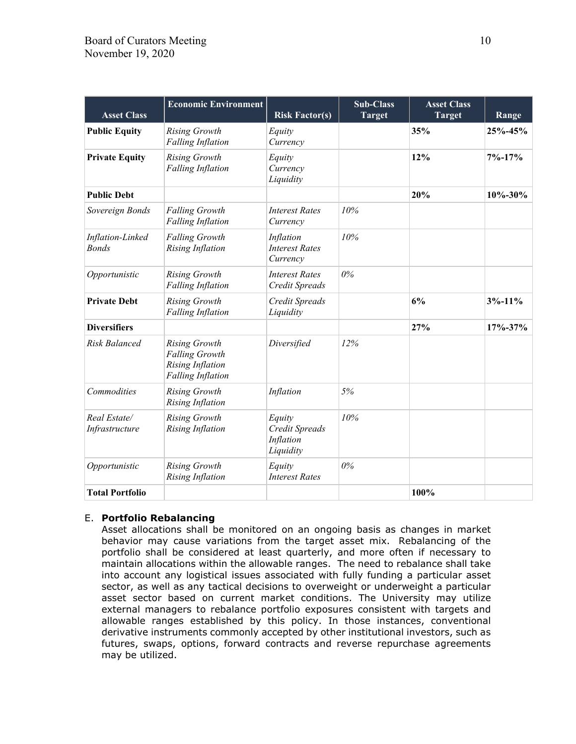| <b>Asset Class</b>               | <b>Economic Environment</b>                                                                          | <b>Risk Factor(s)</b>                              | <b>Sub-Class</b><br><b>Target</b> | <b>Asset Class</b><br><b>Target</b> | Range         |
|----------------------------------|------------------------------------------------------------------------------------------------------|----------------------------------------------------|-----------------------------------|-------------------------------------|---------------|
| <b>Public Equity</b>             | <b>Rising Growth</b><br><b>Falling Inflation</b>                                                     | Equity<br>Currency                                 |                                   | 35%                                 | 25%-45%       |
| <b>Private Equity</b>            | <b>Rising Growth</b><br><b>Falling Inflation</b>                                                     | Equity<br>Currency<br>Liquidity                    |                                   | 12%                                 | $7% - 17%$    |
| <b>Public Debt</b>               |                                                                                                      |                                                    |                                   | 20%                                 | $10\% - 30\%$ |
| Sovereign Bonds                  | <b>Falling Growth</b><br><b>Falling Inflation</b>                                                    | <b>Interest Rates</b><br>Currency                  | 10%                               |                                     |               |
| Inflation-Linked<br><b>Bonds</b> | <b>Falling Growth</b><br><b>Rising Inflation</b>                                                     | Inflation<br><b>Interest Rates</b><br>Currency     | 10%                               |                                     |               |
| Opportunistic                    | <b>Rising Growth</b><br><b>Falling Inflation</b>                                                     | <b>Interest Rates</b><br>Credit Spreads            | $0\%$                             |                                     |               |
| <b>Private Debt</b>              | <b>Rising Growth</b><br>Falling Inflation                                                            | Credit Spreads<br>Liquidity                        |                                   | 6%                                  | $3% - 11%$    |
| <b>Diversifiers</b>              |                                                                                                      |                                                    |                                   | 27%                                 | $17\% - 37\%$ |
| <b>Risk Balanced</b>             | <b>Rising Growth</b><br><b>Falling Growth</b><br><b>Rising Inflation</b><br><b>Falling Inflation</b> | Diversified                                        | 12%                               |                                     |               |
| Commodities                      | <b>Rising Growth</b><br><b>Rising Inflation</b>                                                      | Inflation                                          | 5%                                |                                     |               |
| Real Estate/<br>Infrastructure   | <b>Rising Growth</b><br><b>Rising Inflation</b>                                                      | Equity<br>Credit Spreads<br>Inflation<br>Liquidity | 10%                               |                                     |               |
| Opportunistic                    | <b>Rising Growth</b><br><b>Rising Inflation</b>                                                      | Equity<br><b>Interest Rates</b>                    | $0\%$                             |                                     |               |
| <b>Total Portfolio</b>           |                                                                                                      |                                                    |                                   | 100%                                |               |

### E. **Portfolio Rebalancing**

Asset allocations shall be monitored on an ongoing basis as changes in market behavior may cause variations from the target asset mix. Rebalancing of the portfolio shall be considered at least quarterly, and more often if necessary to maintain allocations within the allowable ranges. The need to rebalance shall take into account any logistical issues associated with fully funding a particular asset sector, as well as any tactical decisions to overweight or underweight a particular asset sector based on current market conditions. The University may utilize external managers to rebalance portfolio exposures consistent with targets and allowable ranges established by this policy. In those instances, conventional derivative instruments commonly accepted by other institutional investors, such as futures, swaps, options, forward contracts and reverse repurchase agreements may be utilized.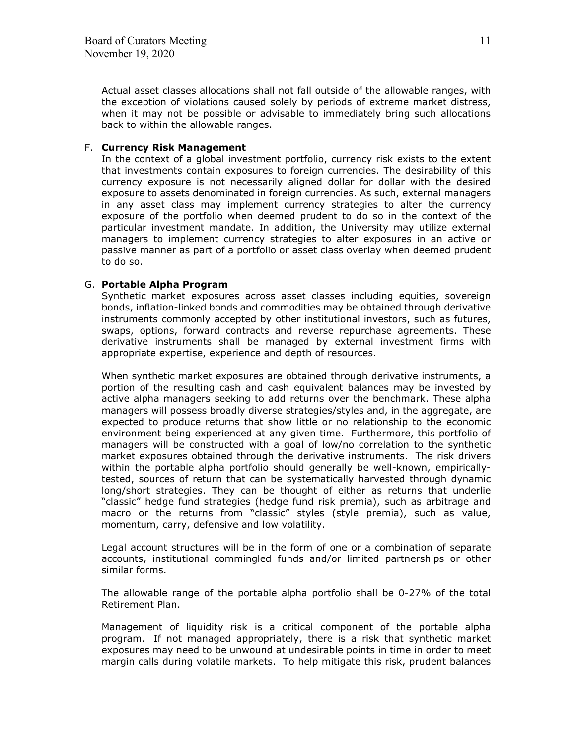Actual asset classes allocations shall not fall outside of the allowable ranges, with the exception of violations caused solely by periods of extreme market distress, when it may not be possible or advisable to immediately bring such allocations back to within the allowable ranges.

### F. **Currency Risk Management**

In the context of a global investment portfolio, currency risk exists to the extent that investments contain exposures to foreign currencies. The desirability of this currency exposure is not necessarily aligned dollar for dollar with the desired exposure to assets denominated in foreign currencies. As such, external managers in any asset class may implement currency strategies to alter the currency exposure of the portfolio when deemed prudent to do so in the context of the particular investment mandate. In addition, the University may utilize external managers to implement currency strategies to alter exposures in an active or passive manner as part of a portfolio or asset class overlay when deemed prudent to do so.

### G. **Portable Alpha Program**

Synthetic market exposures across asset classes including equities, sovereign bonds, inflation-linked bonds and commodities may be obtained through derivative instruments commonly accepted by other institutional investors, such as futures, swaps, options, forward contracts and reverse repurchase agreements. These derivative instruments shall be managed by external investment firms with appropriate expertise, experience and depth of resources.

When synthetic market exposures are obtained through derivative instruments, a portion of the resulting cash and cash equivalent balances may be invested by active alpha managers seeking to add returns over the benchmark. These alpha managers will possess broadly diverse strategies/styles and, in the aggregate, are expected to produce returns that show little or no relationship to the economic environment being experienced at any given time. Furthermore, this portfolio of managers will be constructed with a goal of low/no correlation to the synthetic market exposures obtained through the derivative instruments. The risk drivers within the portable alpha portfolio should generally be well-known, empiricallytested, sources of return that can be systematically harvested through dynamic long/short strategies. They can be thought of either as returns that underlie "classic" hedge fund strategies (hedge fund risk premia), such as arbitrage and macro or the returns from "classic" styles (style premia), such as value, momentum, carry, defensive and low volatility.

Legal account structures will be in the form of one or a combination of separate accounts, institutional commingled funds and/or limited partnerships or other similar forms.

The allowable range of the portable alpha portfolio shall be 0-27% of the total Retirement Plan.

Management of liquidity risk is a critical component of the portable alpha program. If not managed appropriately, there is a risk that synthetic market exposures may need to be unwound at undesirable points in time in order to meet margin calls during volatile markets. To help mitigate this risk, prudent balances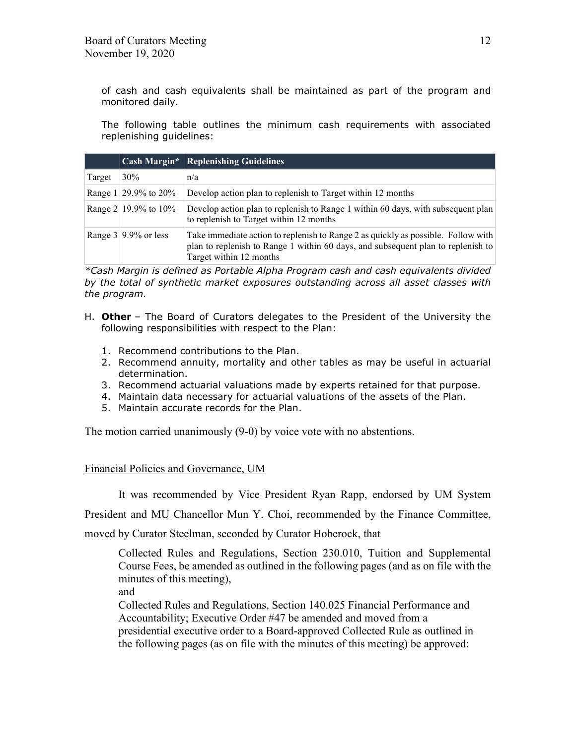of cash and cash equivalents shall be maintained as part of the program and monitored daily.

The following table outlines the minimum cash requirements with associated replenishing guidelines:

|        |                            | Cash Margin* Replenishing Guidelines                                                                                                                                                             |
|--------|----------------------------|--------------------------------------------------------------------------------------------------------------------------------------------------------------------------------------------------|
| Target | $30\%$                     | n/a                                                                                                                                                                                              |
|        | Range $1 29.9\%$ to $20\%$ | Develop action plan to replenish to Target within 12 months                                                                                                                                      |
|        | Range $2 19.9\%$ to $10\%$ | Develop action plan to replenish to Range 1 within 60 days, with subsequent plan<br>to replenish to Target within 12 months                                                                      |
|        | Range $3 9.9\%$ or less    | Take immediate action to replenish to Range 2 as quickly as possible. Follow with<br>plan to replenish to Range 1 within 60 days, and subsequent plan to replenish to<br>Target within 12 months |

*\*Cash Margin is defined as Portable Alpha Program cash and cash equivalents divided by the total of synthetic market exposures outstanding across all asset classes with the program.*

- H. **Other** The Board of Curators delegates to the President of the University the following responsibilities with respect to the Plan:
	- 1. Recommend contributions to the Plan.
	- 2. Recommend annuity, mortality and other tables as may be useful in actuarial determination.
	- 3. Recommend actuarial valuations made by experts retained for that purpose.
	- 4. Maintain data necessary for actuarial valuations of the assets of the Plan.
	- 5. Maintain accurate records for the Plan.

The motion carried unanimously (9-0) by voice vote with no abstentions.

## Financial Policies and Governance, UM

It was recommended by Vice President Ryan Rapp, endorsed by UM System

President and MU Chancellor Mun Y. Choi, recommended by the Finance Committee,

moved by Curator Steelman, seconded by Curator Hoberock, that

Collected Rules and Regulations, Section 230.010, Tuition and Supplemental Course Fees, be amended as outlined in the following pages (and as on file with the minutes of this meeting),

and

Collected Rules and Regulations, Section 140.025 Financial Performance and Accountability; Executive Order #47 be amended and moved from a presidential executive order to a Board-approved Collected Rule as outlined in the following pages (as on file with the minutes of this meeting) be approved: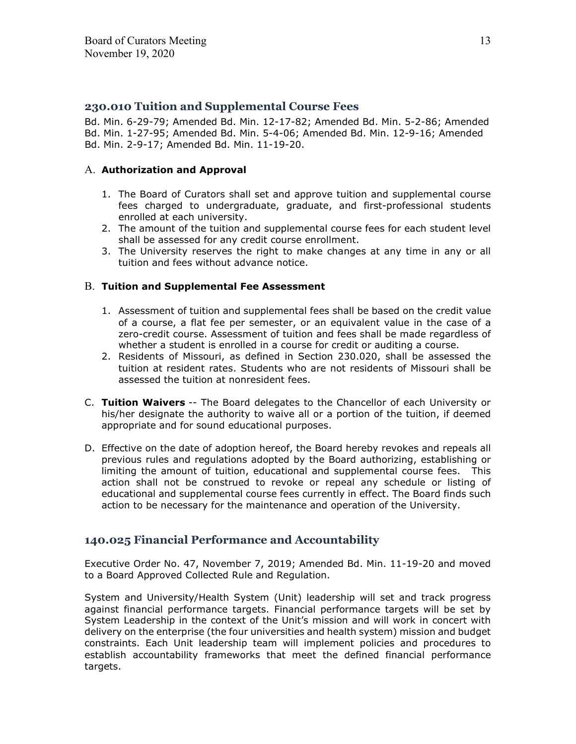## **230.010 Tuition and Supplemental Course Fees**

Bd. Min. 6-29-79; Amended Bd. Min. 12-17-82; Amended Bd. Min. 5-2-86; Amended Bd. Min. 1-27-95; Amended Bd. Min. 5-4-06; Amended Bd. Min. 12-9-16; Amended Bd. Min. 2-9-17; Amended Bd. Min. 11-19-20.

### A. **Authorization and Approval**

- 1. The Board of Curators shall set and approve tuition and supplemental course fees charged to undergraduate, graduate, and first-professional students enrolled at each university.
- 2. The amount of the tuition and supplemental course fees for each student level shall be assessed for any credit course enrollment.
- 3. The University reserves the right to make changes at any time in any or all tuition and fees without advance notice.

### B. **Tuition and Supplemental Fee Assessment**

- 1. Assessment of tuition and supplemental fees shall be based on the credit value of a course, a flat fee per semester, or an equivalent value in the case of a zero-credit course. Assessment of tuition and fees shall be made regardless of whether a student is enrolled in a course for credit or auditing a course.
- 2. Residents of Missouri, as defined in Section 230.020, shall be assessed the tuition at resident rates. Students who are not residents of Missouri shall be assessed the tuition at nonresident fees.
- C. **Tuition Waivers** -- The Board delegates to the Chancellor of each University or his/her designate the authority to waive all or a portion of the tuition, if deemed appropriate and for sound educational purposes.
- D. Effective on the date of adoption hereof, the Board hereby revokes and repeals all previous rules and regulations adopted by the Board authorizing, establishing or limiting the amount of tuition, educational and supplemental course fees. This action shall not be construed to revoke or repeal any schedule or listing of educational and supplemental course fees currently in effect. The Board finds such action to be necessary for the maintenance and operation of the University.

## **140.025 Financial Performance and Accountability**

Executive Order No. 47, November 7, 2019; Amended Bd. Min. 11-19-20 and moved to a Board Approved Collected Rule and Regulation.

System and University/Health System (Unit) leadership will set and track progress against financial performance targets. Financial performance targets will be set by System Leadership in the context of the Unit's mission and will work in concert with delivery on the enterprise (the four universities and health system) mission and budget constraints. Each Unit leadership team will implement policies and procedures to establish accountability frameworks that meet the defined financial performance targets.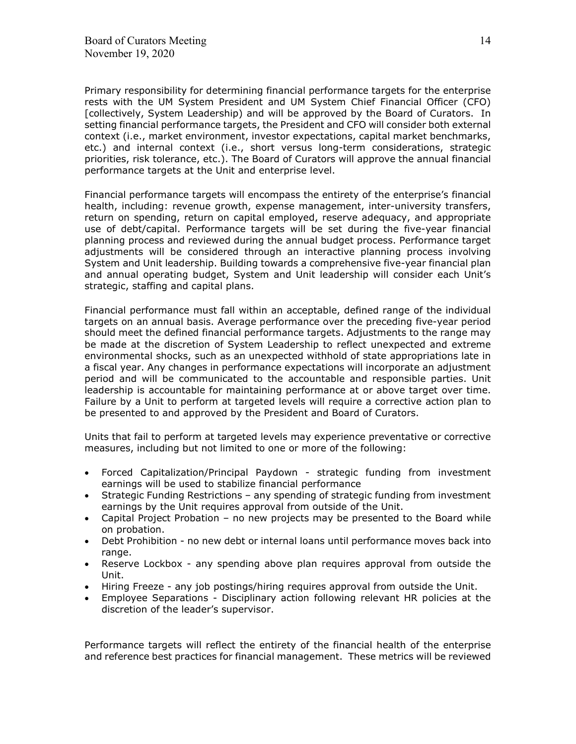Primary responsibility for determining financial performance targets for the enterprise rests with the UM System President and UM System Chief Financial Officer (CFO) [collectively, System Leadership) and will be approved by the Board of Curators. In setting financial performance targets, the President and CFO will consider both external context (i.e., market environment, investor expectations, capital market benchmarks, etc.) and internal context (i.e., short versus long-term considerations, strategic priorities, risk tolerance, etc.). The Board of Curators will approve the annual financial performance targets at the Unit and enterprise level.

Financial performance targets will encompass the entirety of the enterprise's financial health, including: revenue growth, expense management, inter-university transfers, return on spending, return on capital employed, reserve adequacy, and appropriate use of debt/capital. Performance targets will be set during the five-year financial planning process and reviewed during the annual budget process. Performance target adjustments will be considered through an interactive planning process involving System and Unit leadership. Building towards a comprehensive five-year financial plan and annual operating budget, System and Unit leadership will consider each Unit's strategic, staffing and capital plans.

Financial performance must fall within an acceptable, defined range of the individual targets on an annual basis. Average performance over the preceding five-year period should meet the defined financial performance targets. Adjustments to the range may be made at the discretion of System Leadership to reflect unexpected and extreme environmental shocks, such as an unexpected withhold of state appropriations late in a fiscal year. Any changes in performance expectations will incorporate an adjustment period and will be communicated to the accountable and responsible parties. Unit leadership is accountable for maintaining performance at or above target over time. Failure by a Unit to perform at targeted levels will require a corrective action plan to be presented to and approved by the President and Board of Curators.

Units that fail to perform at targeted levels may experience preventative or corrective measures, including but not limited to one or more of the following:

- Forced Capitalization/Principal Paydown strategic funding from investment earnings will be used to stabilize financial performance
- Strategic Funding Restrictions any spending of strategic funding from investment earnings by the Unit requires approval from outside of the Unit.
- Capital Project Probation no new projects may be presented to the Board while on probation.
- Debt Prohibition no new debt or internal loans until performance moves back into range.
- Reserve Lockbox any spending above plan requires approval from outside the Unit.
- Hiring Freeze any job postings/hiring requires approval from outside the Unit.
- Employee Separations Disciplinary action following relevant HR policies at the discretion of the leader's supervisor.

Performance targets will reflect the entirety of the financial health of the enterprise and reference best practices for financial management. These metrics will be reviewed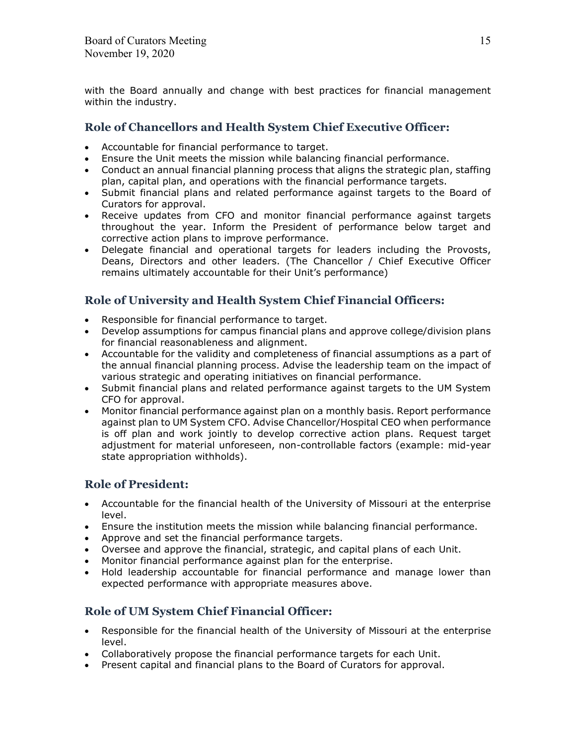with the Board annually and change with best practices for financial management within the industry.

## **Role of Chancellors and Health System Chief Executive Officer:**

- Accountable for financial performance to target.
- Ensure the Unit meets the mission while balancing financial performance.
- Conduct an annual financial planning process that aligns the strategic plan, staffing plan, capital plan, and operations with the financial performance targets.
- Submit financial plans and related performance against targets to the Board of Curators for approval.
- Receive updates from CFO and monitor financial performance against targets throughout the year. Inform the President of performance below target and corrective action plans to improve performance.
- Delegate financial and operational targets for leaders including the Provosts, Deans, Directors and other leaders. (The Chancellor / Chief Executive Officer remains ultimately accountable for their Unit's performance)

# **Role of University and Health System Chief Financial Officers:**

- Responsible for financial performance to target.
- Develop assumptions for campus financial plans and approve college/division plans for financial reasonableness and alignment.
- Accountable for the validity and completeness of financial assumptions as a part of the annual financial planning process. Advise the leadership team on the impact of various strategic and operating initiatives on financial performance.
- Submit financial plans and related performance against targets to the UM System CFO for approval.
- Monitor financial performance against plan on a monthly basis. Report performance against plan to UM System CFO. Advise Chancellor/Hospital CEO when performance is off plan and work jointly to develop corrective action plans. Request target adjustment for material unforeseen, non-controllable factors (example: mid-year state appropriation withholds).

# **Role of President:**

- Accountable for the financial health of the University of Missouri at the enterprise level.
- Ensure the institution meets the mission while balancing financial performance.
- Approve and set the financial performance targets.
- Oversee and approve the financial, strategic, and capital plans of each Unit.
- Monitor financial performance against plan for the enterprise.
- Hold leadership accountable for financial performance and manage lower than expected performance with appropriate measures above.

# **Role of UM System Chief Financial Officer:**

- Responsible for the financial health of the University of Missouri at the enterprise level.
- Collaboratively propose the financial performance targets for each Unit.
- Present capital and financial plans to the Board of Curators for approval.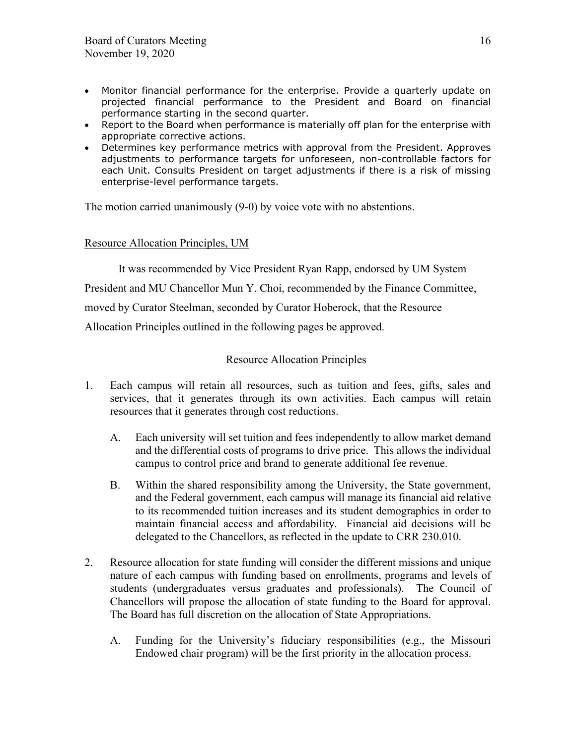- Monitor financial performance for the enterprise. Provide a quarterly update on projected financial performance to the President and Board on financial performance starting in the second quarter.
- Report to the Board when performance is materially off plan for the enterprise with appropriate corrective actions.
- Determines key performance metrics with approval from the President. Approves adjustments to performance targets for unforeseen, non-controllable factors for each Unit. Consults President on target adjustments if there is a risk of missing enterprise-level performance targets.

The motion carried unanimously (9-0) by voice vote with no abstentions.

## Resource Allocation Principles, UM

It was recommended by Vice President Ryan Rapp, endorsed by UM System

President and MU Chancellor Mun Y. Choi, recommended by the Finance Committee,

moved by Curator Steelman, seconded by Curator Hoberock, that the Resource

Allocation Principles outlined in the following pages be approved.

## Resource Allocation Principles

- 1. Each campus will retain all resources, such as tuition and fees, gifts, sales and services, that it generates through its own activities. Each campus will retain resources that it generates through cost reductions.
	- A. Each university will set tuition and fees independently to allow market demand and the differential costs of programs to drive price. This allows the individual campus to control price and brand to generate additional fee revenue.
	- B. Within the shared responsibility among the University, the State government, and the Federal government, each campus will manage its financial aid relative to its recommended tuition increases and its student demographics in order to maintain financial access and affordability. Financial aid decisions will be delegated to the Chancellors, as reflected in the update to CRR 230.010.
- 2. Resource allocation for state funding will consider the different missions and unique nature of each campus with funding based on enrollments, programs and levels of students (undergraduates versus graduates and professionals). The Council of Chancellors will propose the allocation of state funding to the Board for approval. The Board has full discretion on the allocation of State Appropriations.
	- A. Funding for the University's fiduciary responsibilities (e.g., the Missouri Endowed chair program) will be the first priority in the allocation process.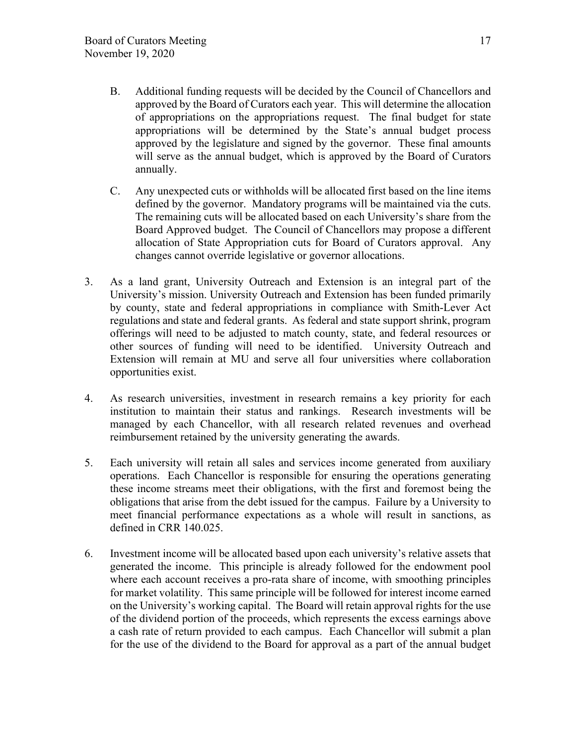- B. Additional funding requests will be decided by the Council of Chancellors and approved by the Board of Curators each year. This will determine the allocation of appropriations on the appropriations request. The final budget for state appropriations will be determined by the State's annual budget process approved by the legislature and signed by the governor. These final amounts will serve as the annual budget, which is approved by the Board of Curators annually.
- C. Any unexpected cuts or withholds will be allocated first based on the line items defined by the governor. Mandatory programs will be maintained via the cuts. The remaining cuts will be allocated based on each University's share from the Board Approved budget. The Council of Chancellors may propose a different allocation of State Appropriation cuts for Board of Curators approval. Any changes cannot override legislative or governor allocations.
- 3. As a land grant, University Outreach and Extension is an integral part of the University's mission. University Outreach and Extension has been funded primarily by county, state and federal appropriations in compliance with Smith-Lever Act regulations and state and federal grants. As federal and state support shrink, program offerings will need to be adjusted to match county, state, and federal resources or other sources of funding will need to be identified. University Outreach and Extension will remain at MU and serve all four universities where collaboration opportunities exist.
- 4. As research universities, investment in research remains a key priority for each institution to maintain their status and rankings. Research investments will be managed by each Chancellor, with all research related revenues and overhead reimbursement retained by the university generating the awards.
- 5. Each university will retain all sales and services income generated from auxiliary operations. Each Chancellor is responsible for ensuring the operations generating these income streams meet their obligations, with the first and foremost being the obligations that arise from the debt issued for the campus. Failure by a University to meet financial performance expectations as a whole will result in sanctions, as defined in CRR 140.025.
- 6. Investment income will be allocated based upon each university's relative assets that generated the income. This principle is already followed for the endowment pool where each account receives a pro-rata share of income, with smoothing principles for market volatility. This same principle will be followed for interest income earned on the University's working capital. The Board will retain approval rights for the use of the dividend portion of the proceeds, which represents the excess earnings above a cash rate of return provided to each campus. Each Chancellor will submit a plan for the use of the dividend to the Board for approval as a part of the annual budget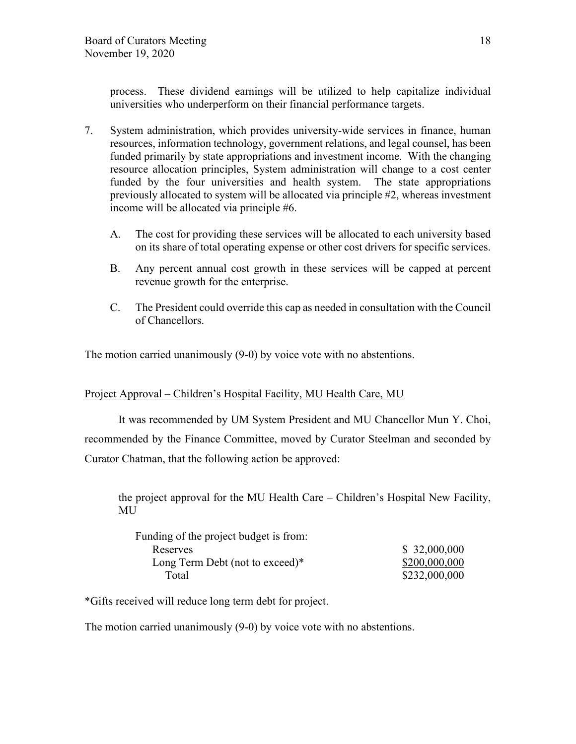process. These dividend earnings will be utilized to help capitalize individual universities who underperform on their financial performance targets.

- 7. System administration, which provides university-wide services in finance, human resources, information technology, government relations, and legal counsel, has been funded primarily by state appropriations and investment income. With the changing resource allocation principles, System administration will change to a cost center funded by the four universities and health system. The state appropriations previously allocated to system will be allocated via principle #2, whereas investment income will be allocated via principle #6.
	- A. The cost for providing these services will be allocated to each university based on its share of total operating expense or other cost drivers for specific services.
	- B. Any percent annual cost growth in these services will be capped at percent revenue growth for the enterprise.
	- C. The President could override this cap as needed in consultation with the Council of Chancellors.

The motion carried unanimously (9-0) by voice vote with no abstentions.

## Project Approval – Children's Hospital Facility, MU Health Care, MU

It was recommended by UM System President and MU Chancellor Mun Y. Choi, recommended by the Finance Committee, moved by Curator Steelman and seconded by Curator Chatman, that the following action be approved:

the project approval for the MU Health Care – Children's Hospital New Facility, MU

| \$32,000,000  |
|---------------|
| \$200,000,000 |
| \$232,000,000 |
|               |

\*Gifts received will reduce long term debt for project.

The motion carried unanimously (9-0) by voice vote with no abstentions.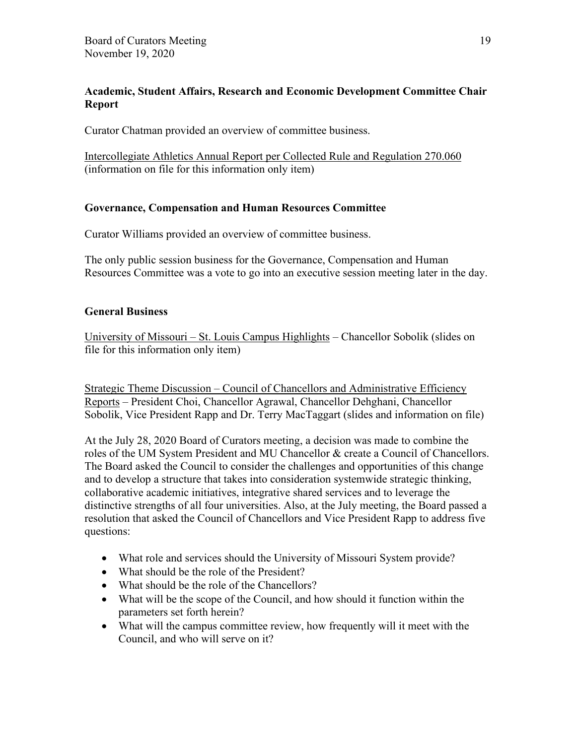## **Academic, Student Affairs, Research and Economic Development Committee Chair Report**

Curator Chatman provided an overview of committee business.

Intercollegiate Athletics Annual Report per Collected Rule and Regulation 270.060 (information on file for this information only item)

## **Governance, Compensation and Human Resources Committee**

Curator Williams provided an overview of committee business.

The only public session business for the Governance, Compensation and Human Resources Committee was a vote to go into an executive session meeting later in the day.

## **General Business**

University of Missouri – St. Louis Campus Highlights – Chancellor Sobolik (slides on file for this information only item)

Strategic Theme Discussion – Council of Chancellors and Administrative Efficiency Reports – President Choi, Chancellor Agrawal, Chancellor Dehghani, Chancellor Sobolik, Vice President Rapp and Dr. Terry MacTaggart (slides and information on file)

At the July 28, 2020 Board of Curators meeting, a decision was made to combine the roles of the UM System President and MU Chancellor & create a Council of Chancellors. The Board asked the Council to consider the challenges and opportunities of this change and to develop a structure that takes into consideration systemwide strategic thinking, collaborative academic initiatives, integrative shared services and to leverage the distinctive strengths of all four universities. Also, at the July meeting, the Board passed a resolution that asked the Council of Chancellors and Vice President Rapp to address five questions:

- What role and services should the University of Missouri System provide?
- What should be the role of the President?
- What should be the role of the Chancellors?
- What will be the scope of the Council, and how should it function within the parameters set forth herein?
- What will the campus committee review, how frequently will it meet with the Council, and who will serve on it?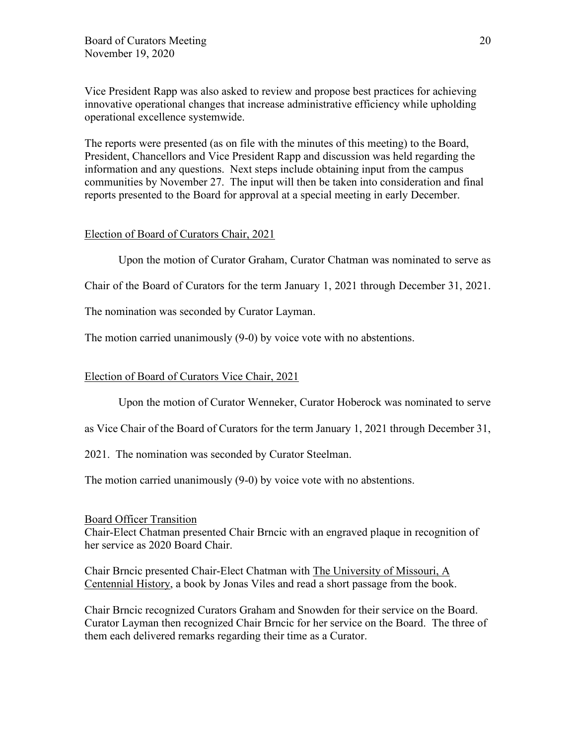Vice President Rapp was also asked to review and propose best practices for achieving innovative operational changes that increase administrative efficiency while upholding operational excellence systemwide.

The reports were presented (as on file with the minutes of this meeting) to the Board, President, Chancellors and Vice President Rapp and discussion was held regarding the information and any questions. Next steps include obtaining input from the campus communities by November 27. The input will then be taken into consideration and final reports presented to the Board for approval at a special meeting in early December.

### Election of Board of Curators Chair, 2021

Upon the motion of Curator Graham, Curator Chatman was nominated to serve as

Chair of the Board of Curators for the term January 1, 2021 through December 31, 2021.

The nomination was seconded by Curator Layman.

The motion carried unanimously (9-0) by voice vote with no abstentions.

### Election of Board of Curators Vice Chair, 2021

Upon the motion of Curator Wenneker, Curator Hoberock was nominated to serve

as Vice Chair of the Board of Curators for the term January 1, 2021 through December 31,

2021. The nomination was seconded by Curator Steelman.

The motion carried unanimously (9-0) by voice vote with no abstentions.

### Board Officer Transition

Chair-Elect Chatman presented Chair Brncic with an engraved plaque in recognition of her service as 2020 Board Chair.

Chair Brncic presented Chair-Elect Chatman with The University of Missouri, A Centennial History, a book by Jonas Viles and read a short passage from the book.

Chair Brncic recognized Curators Graham and Snowden for their service on the Board. Curator Layman then recognized Chair Brncic for her service on the Board. The three of them each delivered remarks regarding their time as a Curator.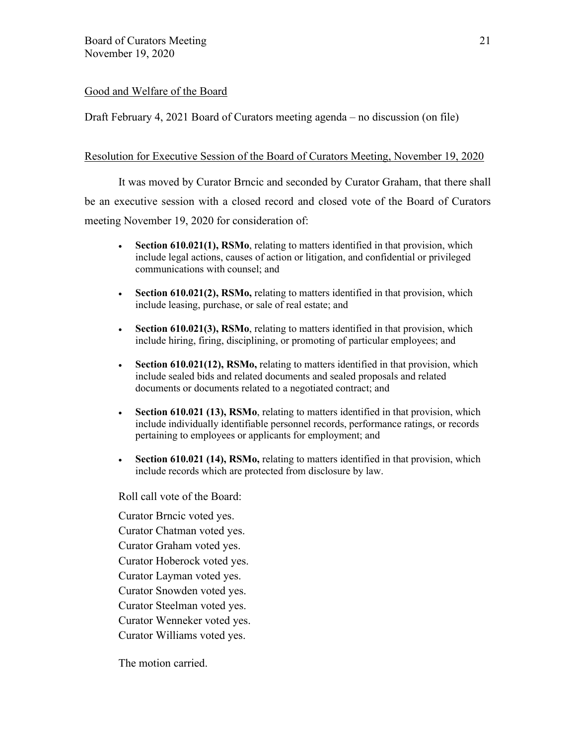## Good and Welfare of the Board

Draft February 4, 2021 Board of Curators meeting agenda – no discussion (on file)

### Resolution for Executive Session of the Board of Curators Meeting, November 19, 2020

It was moved by Curator Brncic and seconded by Curator Graham, that there shall be an executive session with a closed record and closed vote of the Board of Curators meeting November 19, 2020 for consideration of:

- **Section 610.021(1), RSMo**, relating to matters identified in that provision, which include legal actions, causes of action or litigation, and confidential or privileged communications with counsel; and
- **Section 610.021(2), RSMo,** relating to matters identified in that provision, which include leasing, purchase, or sale of real estate; and
- **Section 610.021(3), RSMo**, relating to matters identified in that provision, which include hiring, firing, disciplining, or promoting of particular employees; and
- **Section 610.021(12), RSMo,** relating to matters identified in that provision, which include sealed bids and related documents and sealed proposals and related documents or documents related to a negotiated contract; and
- **Section 610.021 (13), RSMo**, relating to matters identified in that provision, which include individually identifiable personnel records, performance ratings, or records pertaining to employees or applicants for employment; and
- **Section 610.021 (14), RSMo,** relating to matters identified in that provision, which include records which are protected from disclosure by law.

Roll call vote of the Board:

Curator Brncic voted yes. Curator Chatman voted yes. Curator Graham voted yes. Curator Hoberock voted yes. Curator Layman voted yes. Curator Snowden voted yes. Curator Steelman voted yes. Curator Wenneker voted yes. Curator Williams voted yes.

The motion carried.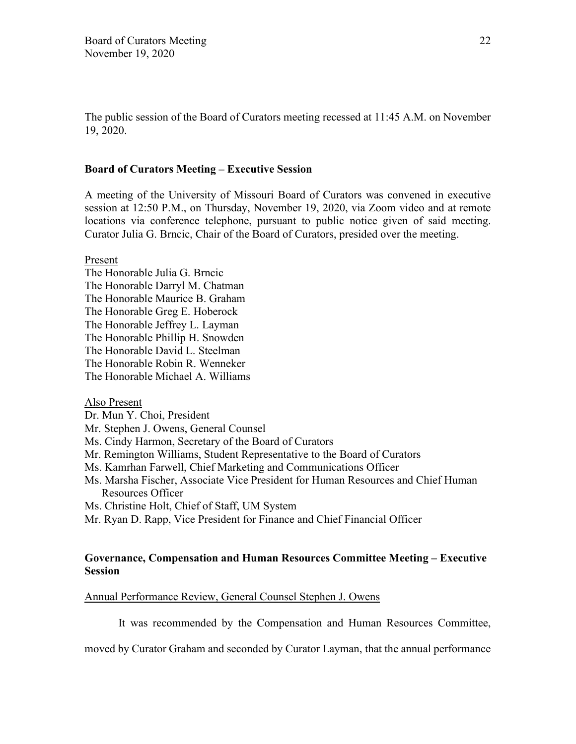The public session of the Board of Curators meeting recessed at 11:45 A.M. on November 19, 2020.

### **Board of Curators Meeting – Executive Session**

A meeting of the University of Missouri Board of Curators was convened in executive session at 12:50 P.M., on Thursday, November 19, 2020, via Zoom video and at remote locations via conference telephone, pursuant to public notice given of said meeting. Curator Julia G. Brncic, Chair of the Board of Curators, presided over the meeting.

Present

The Honorable Julia G. Brncic The Honorable Darryl M. Chatman The Honorable Maurice B. Graham The Honorable Greg E. Hoberock The Honorable Jeffrey L. Layman The Honorable Phillip H. Snowden The Honorable David L. Steelman The Honorable Robin R. Wenneker The Honorable Michael A. Williams

Also Present

### Dr. Mun Y. Choi, President

- Mr. Stephen J. Owens, General Counsel
- Ms. Cindy Harmon, Secretary of the Board of Curators
- Mr. Remington Williams, Student Representative to the Board of Curators
- Ms. Kamrhan Farwell, Chief Marketing and Communications Officer
- Ms. Marsha Fischer, Associate Vice President for Human Resources and Chief Human Resources Officer

Ms. Christine Holt, Chief of Staff, UM System

Mr. Ryan D. Rapp, Vice President for Finance and Chief Financial Officer

## **Governance, Compensation and Human Resources Committee Meeting – Executive Session**

### Annual Performance Review, General Counsel Stephen J. Owens

It was recommended by the Compensation and Human Resources Committee,

moved by Curator Graham and seconded by Curator Layman, that the annual performance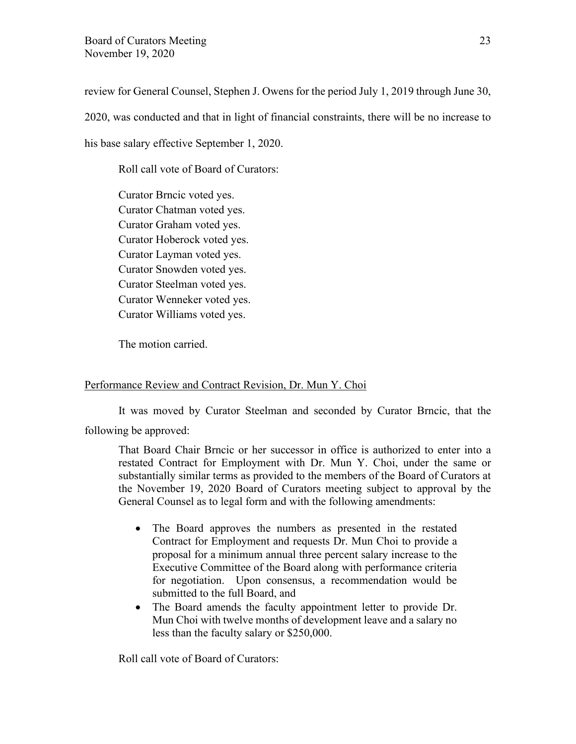review for General Counsel, Stephen J. Owens for the period July 1, 2019 through June 30, 2020, was conducted and that in light of financial constraints, there will be no increase to his base salary effective September 1, 2020.

Roll call vote of Board of Curators:

Curator Brncic voted yes. Curator Chatman voted yes. Curator Graham voted yes. Curator Hoberock voted yes. Curator Layman voted yes. Curator Snowden voted yes. Curator Steelman voted yes. Curator Wenneker voted yes. Curator Williams voted yes.

The motion carried.

## Performance Review and Contract Revision, Dr. Mun Y. Choi

It was moved by Curator Steelman and seconded by Curator Brncic, that the following be approved:

That Board Chair Brncic or her successor in office is authorized to enter into a restated Contract for Employment with Dr. Mun Y. Choi, under the same or substantially similar terms as provided to the members of the Board of Curators at the November 19, 2020 Board of Curators meeting subject to approval by the General Counsel as to legal form and with the following amendments:

- The Board approves the numbers as presented in the restated Contract for Employment and requests Dr. Mun Choi to provide a proposal for a minimum annual three percent salary increase to the Executive Committee of the Board along with performance criteria for negotiation. Upon consensus, a recommendation would be submitted to the full Board, and
- The Board amends the faculty appointment letter to provide Dr. Mun Choi with twelve months of development leave and a salary no less than the faculty salary or \$250,000.

Roll call vote of Board of Curators: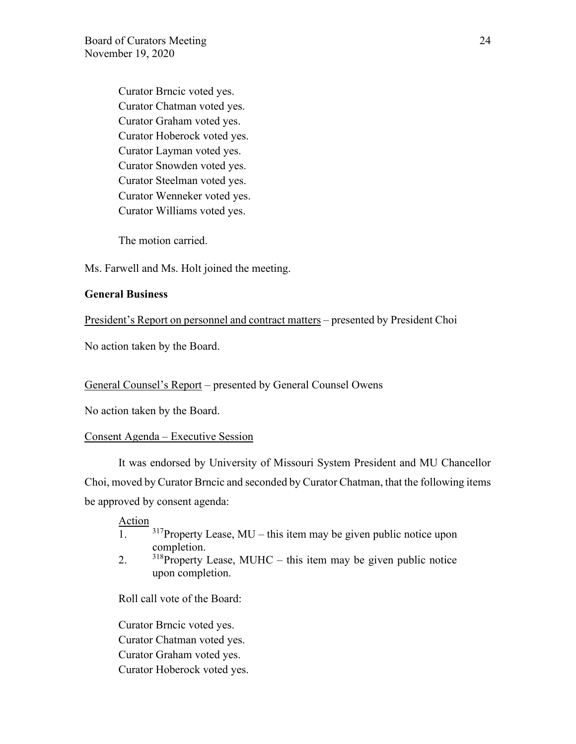Curator Brncic voted yes. Curator Chatman voted yes. Curator Graham voted yes. Curator Hoberock voted yes. Curator Layman voted yes. Curator Snowden voted yes. Curator Steelman voted yes. Curator Wenneker voted yes. Curator Williams voted yes.

The motion carried.

Ms. Farwell and Ms. Holt joined the meeting.

## **General Business**

President's Report on personnel and contract matters – presented by President Choi

No action taken by the Board.

### General Counsel's Report – presented by General Counsel Owens

No action taken by the Board.

### Consent Agenda – Executive Session

It was endorsed by University of Missouri System President and MU Chancellor Choi, moved by Curator Brncic and seconded by Curator Chatman, that the following items be approved by consent agenda:

#### Action

- $\frac{1}{1}$ .  $\frac{317}{2}$ Property Lease, MU this item may be given public notice upon completion.
- 2.  $318$ Property Lease, MUHC this item may be given public notice upon completion.

Roll call vote of the Board:

Curator Brncic voted yes. Curator Chatman voted yes. Curator Graham voted yes. Curator Hoberock voted yes.